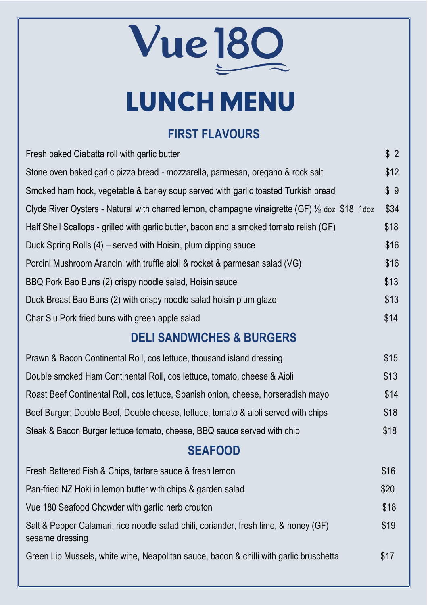Vue <u>180</u>

# LUNCH MENU

## **FIRST FLAVOURS**

Fresh baked Ciabatta roll with garlic butter \$ 2

| Stone oven baked garlic pizza bread - mozzarella, parmesan, oregano & rock salt                         | \$12 |
|---------------------------------------------------------------------------------------------------------|------|
| Smoked ham hock, vegetable & barley soup served with garlic toasted Turkish bread                       | \$9  |
| Clyde River Oysters - Natural with charred lemon, champagne vinaigrette (GF) 1/2 doz \$18 1doz          | \$34 |
| Half Shell Scallops - grilled with garlic butter, bacon and a smoked tomato relish (GF)                 | \$18 |
| Duck Spring Rolls (4) – served with Hoisin, plum dipping sauce                                          | \$16 |
| Porcini Mushroom Arancini with truffle aioli & rocket & parmesan salad (VG)                             | \$16 |
| BBQ Pork Bao Buns (2) crispy noodle salad, Hoisin sauce                                                 | \$13 |
| Duck Breast Bao Buns (2) with crispy noodle salad hoisin plum glaze                                     | \$13 |
| Char Siu Pork fried buns with green apple salad                                                         | \$14 |
| <b>DELI SANDWICHES &amp; BURGERS</b>                                                                    |      |
| Prawn & Bacon Continental Roll, cos lettuce, thousand island dressing                                   | \$15 |
| Double smoked Ham Continental Roll, cos lettuce, tomato, cheese & Aioli                                 | \$13 |
| Roast Beef Continental Roll, cos lettuce, Spanish onion, cheese, horseradish mayo                       | \$14 |
| Beef Burger; Double Beef, Double cheese, lettuce, tomato & aioli served with chips                      | \$18 |
| Steak & Bacon Burger lettuce tomato, cheese, BBQ sauce served with chip                                 | \$18 |
| <b>SEAFOOD</b>                                                                                          |      |
| Fresh Battered Fish & Chips, tartare sauce & fresh lemon                                                | \$16 |
| Pan-fried NZ Hoki in lemon butter with chips & garden salad                                             | \$20 |
| Vue 180 Seafood Chowder with garlic herb crouton                                                        | \$18 |
| Salt & Pepper Calamari, rice noodle salad chili, coriander, fresh lime, & honey (GF)<br>sesame dressing | \$19 |
| Green Lip Mussels, white wine, Neapolitan sauce, bacon & chilli with garlic bruschetta                  | \$17 |